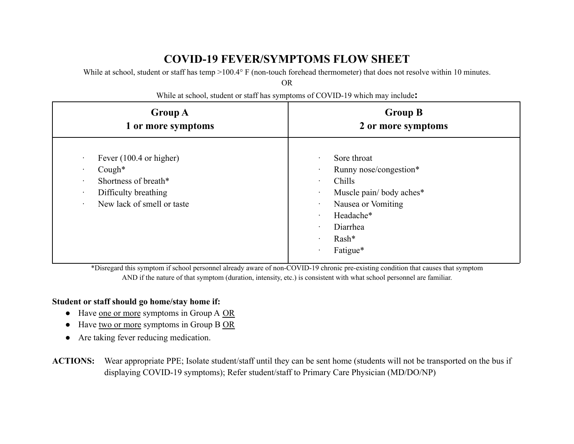# **COVID-19 FEVER/SYMPTOMS FLOW SHEET**

While at school, student or staff has temp >100.4° F (non-touch forehead thermometer) that does not resolve within 10 minutes.

OR

**Group A 1 or more symptoms Group B 2 or more symptoms** Fever (100.4 or higher) · Cough\* Shortness of breath\* Difficulty breathing New lack of smell or taste Sore throat Runny nose/congestion\* · Chills Muscle pain/body aches\* Nausea or Vomiting · Headache\* · Diarrhea · Rash\* · Fatigue\*

While at school, student or staff has symptoms of COVID-19 which may include**:**

\*Disregard this symptom if school personnel already aware of non-COVID-19 chronic pre-existing condition that causes that symptom AND if the nature of that symptom (duration, intensity, etc.) is consistent with what school personnel are familiar.

### **Student or staff should go home/stay home if:**

- Have one or more symptoms in Group A OR
- Have two or more symptoms in Group B OR
- Are taking fever reducing medication.
- **ACTIONS:** Wear appropriate PPE; Isolate student/staff until they can be sent home (students will not be transported on the bus if displaying COVID-19 symptoms); Refer student/staff to Primary Care Physician (MD/DO/NP)